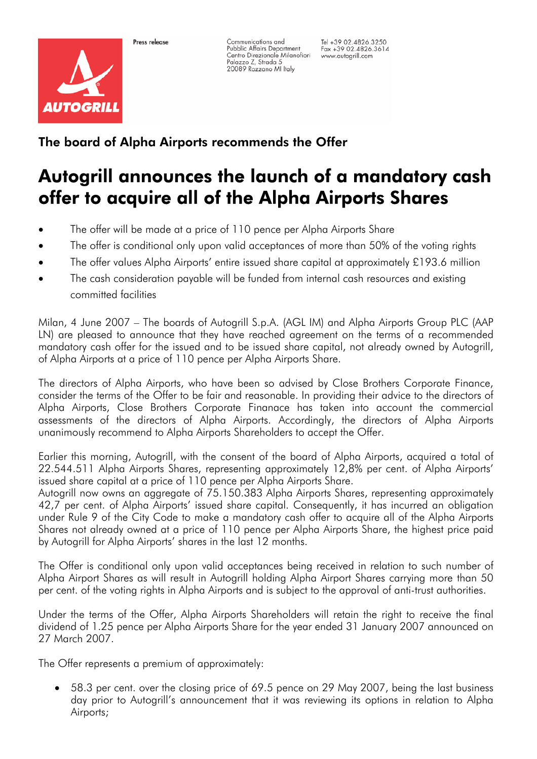

Communications and Pubblic Affairs Department Centro Direzionale Milanofiori Palazzo Z, Strada 5<br>20089 Rozzano MI Italy

Tel +39 02.4826.3250  $Fax + 3902.4826.3614$ www.autogrill.com

## The board of Alpha Airports recommends the Offer

## Autogrill announces the launch of a mandatory cash offer to acquire all of the Alpha Airports Shares

- The offer will be made at a price of 110 pence per Alpha Airports Share
- The offer is conditional only upon valid acceptances of more than 50% of the voting rights
- The offer values Alpha Airports' entire issued share capital at approximately £193.6 million
- The cash consideration payable will be funded from internal cash resources and existing committed facilities

Milan, 4 June 2007 – The boards of Autogrill S.p.A. (AGL IM) and Alpha Airports Group PLC (AAP LN) are pleased to announce that they have reached agreement on the terms of a recommended mandatory cash offer for the issued and to be issued share capital, not already owned by Autogrill, of Alpha Airports at a price of 110 pence per Alpha Airports Share.

The directors of Alpha Airports, who have been so advised by Close Brothers Corporate Finance, consider the terms of the Offer to be fair and reasonable. In providing their advice to the directors of Alpha Airports, Close Brothers Corporate Finanace has taken into account the commercial assessments of the directors of Alpha Airports. Accordingly, the directors of Alpha Airports unanimously recommend to Alpha Airports Shareholders to accept the Offer.

Earlier this morning, Autogrill, with the consent of the board of Alpha Airports, acquired a total of 22.544.511 Alpha Airports Shares, representing approximately 12,8% per cent. of Alpha Airports' issued share capital at a price of 110 pence per Alpha Airports Share.

Autogrill now owns an aggregate of 75.150.383 Alpha Airports Shares, representing approximately 42,7 per cent. of Alpha Airports' issued share capital. Consequently, it has incurred an obligation under Rule 9 of the City Code to make a mandatory cash offer to acquire all of the Alpha Airports Shares not already owned at a price of 110 pence per Alpha Airports Share, the highest price paid by Autogrill for Alpha Airports' shares in the last 12 months.

The Offer is conditional only upon valid acceptances being received in relation to such number of Alpha Airport Shares as will result in Autogrill holding Alpha Airport Shares carrying more than 50 per cent. of the voting rights in Alpha Airports and is subject to the approval of anti-trust authorities.

Under the terms of the Offer, Alpha Airports Shareholders will retain the right to receive the final dividend of 1.25 pence per Alpha Airports Share for the year ended 31 January 2007 announced on 27 March 2007.

The Offer represents a premium of approximately:

• 58.3 per cent. over the closing price of 69.5 pence on 29 May 2007, being the last business day prior to Autogrill's announcement that it was reviewing its options in relation to Alpha Airports;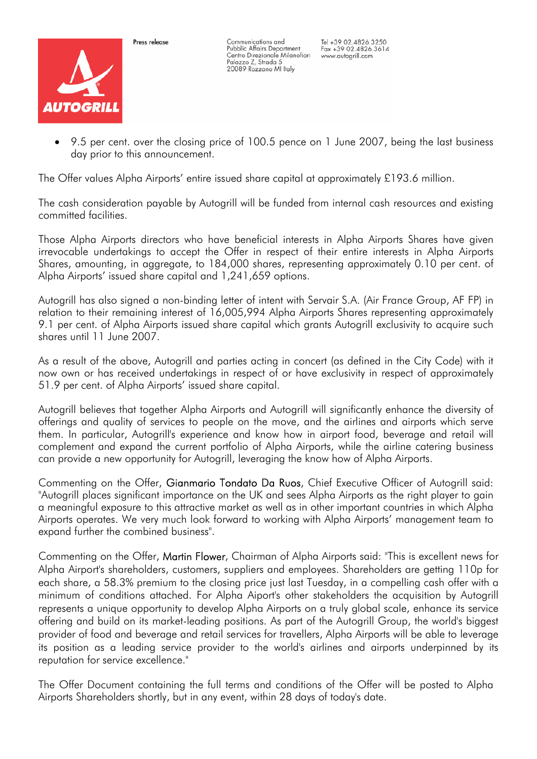

Pross release

Communications and Pubblic Affairs Department Centro Direzionale Milanofiori Palazzo Z, Strada 5<br>20089 Rozzano MI Italy

Tel +39 02.4826.3250  $Fax + 3902.4826.3614$ www.autogrill.com

• 9.5 per cent. over the closing price of 100.5 pence on 1 June 2007, being the last business day prior to this announcement.

The Offer values Alpha Airports' entire issued share capital at approximately £193.6 million.

The cash consideration payable by Autogrill will be funded from internal cash resources and existing committed facilities.

Those Alpha Airports directors who have beneficial interests in Alpha Airports Shares have given irrevocable undertakings to accept the Offer in respect of their entire interests in Alpha Airports Shares, amounting, in aggregate, to 184,000 shares, representing approximately 0.10 per cent. of Alpha Airports' issued share capital and 1,241,659 options.

Autogrill has also signed a non-binding letter of intent with Servair S.A. (Air France Group, AF FP) in relation to their remaining interest of 16,005,994 Alpha Airports Shares representing approximately 9.1 per cent. of Alpha Airports issued share capital which grants Autogrill exclusivity to acquire such shares until 11 June 2007.

As a result of the above, Autogrill and parties acting in concert (as defined in the City Code) with it now own or has received undertakings in respect of or have exclusivity in respect of approximately 51.9 per cent. of Alpha Airports' issued share capital.

Autogrill believes that together Alpha Airports and Autogrill will significantly enhance the diversity of offerings and quality of services to people on the move, and the airlines and airports which serve them. In particular, Autogrill's experience and know how in airport food, beverage and retail will complement and expand the current portfolio of Alpha Airports, while the airline catering business can provide a new opportunity for Autogrill, leveraging the know how of Alpha Airports.

Commenting on the Offer, Gianmario Tondato Da Ruos, Chief Executive Officer of Autogrill said: "Autogrill places significant importance on the UK and sees Alpha Airports as the right player to gain a meaningful exposure to this attractive market as well as in other important countries in which Alpha Airports operates. We very much look forward to working with Alpha Airports' management team to expand further the combined business".

Commenting on the Offer, Martin Flower, Chairman of Alpha Airports said: "This is excellent news for Alpha Airport's shareholders, customers, suppliers and employees. Shareholders are getting 110p for each share, a 58.3% premium to the closing price just last Tuesday, in a compelling cash offer with a minimum of conditions attached. For Alpha Aiport's other stakeholders the acquisition by Autogrill represents a unique opportunity to develop Alpha Airports on a truly global scale, enhance its service offering and build on its market-leading positions. As part of the Autogrill Group, the world's biggest provider of food and beverage and retail services for travellers, Alpha Airports will be able to leverage its position as a leading service provider to the world's airlines and airports underpinned by its reputation for service excellence."

The Offer Document containing the full terms and conditions of the Offer will be posted to Alpha Airports Shareholders shortly, but in any event, within 28 days of today's date.